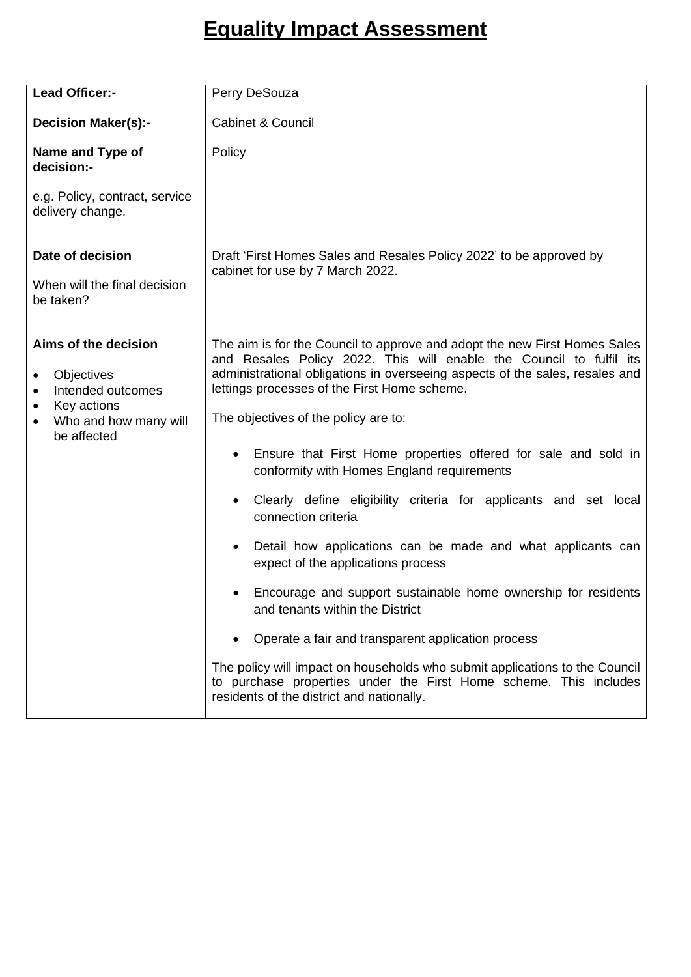## **Equality Impact Assessment**

| <b>Lead Officer:-</b>                                                                                                            | Perry DeSouza                                                                                                                                                                                                                                                                    |  |  |
|----------------------------------------------------------------------------------------------------------------------------------|----------------------------------------------------------------------------------------------------------------------------------------------------------------------------------------------------------------------------------------------------------------------------------|--|--|
| <b>Decision Maker(s):-</b>                                                                                                       | <b>Cabinet &amp; Council</b>                                                                                                                                                                                                                                                     |  |  |
| Name and Type of<br>decision:-                                                                                                   | Policy                                                                                                                                                                                                                                                                           |  |  |
| e.g. Policy, contract, service<br>delivery change.                                                                               |                                                                                                                                                                                                                                                                                  |  |  |
| Date of decision<br>When will the final decision<br>be taken?                                                                    | Draft 'First Homes Sales and Resales Policy 2022' to be approved by<br>cabinet for use by 7 March 2022.                                                                                                                                                                          |  |  |
| Aims of the decision<br>Objectives<br>Intended outcomes<br>$\bullet$<br>Key actions<br>٠<br>Who and how many will<br>be affected | The aim is for the Council to approve and adopt the new First Homes Sales<br>and Resales Policy 2022. This will enable the Council to fulfil its<br>administrational obligations in overseeing aspects of the sales, resales and<br>lettings processes of the First Home scheme. |  |  |
|                                                                                                                                  | The objectives of the policy are to:                                                                                                                                                                                                                                             |  |  |
|                                                                                                                                  | Ensure that First Home properties offered for sale and sold in<br>conformity with Homes England requirements                                                                                                                                                                     |  |  |
|                                                                                                                                  | Clearly define eligibility criteria for applicants and set local<br>$\bullet$<br>connection criteria                                                                                                                                                                             |  |  |
|                                                                                                                                  | Detail how applications can be made and what applicants can<br>expect of the applications process                                                                                                                                                                                |  |  |
|                                                                                                                                  | Encourage and support sustainable home ownership for residents<br>and tenants within the District                                                                                                                                                                                |  |  |
|                                                                                                                                  | Operate a fair and transparent application process                                                                                                                                                                                                                               |  |  |
|                                                                                                                                  | The policy will impact on households who submit applications to the Council<br>to purchase properties under the First Home scheme. This includes<br>residents of the district and nationally.                                                                                    |  |  |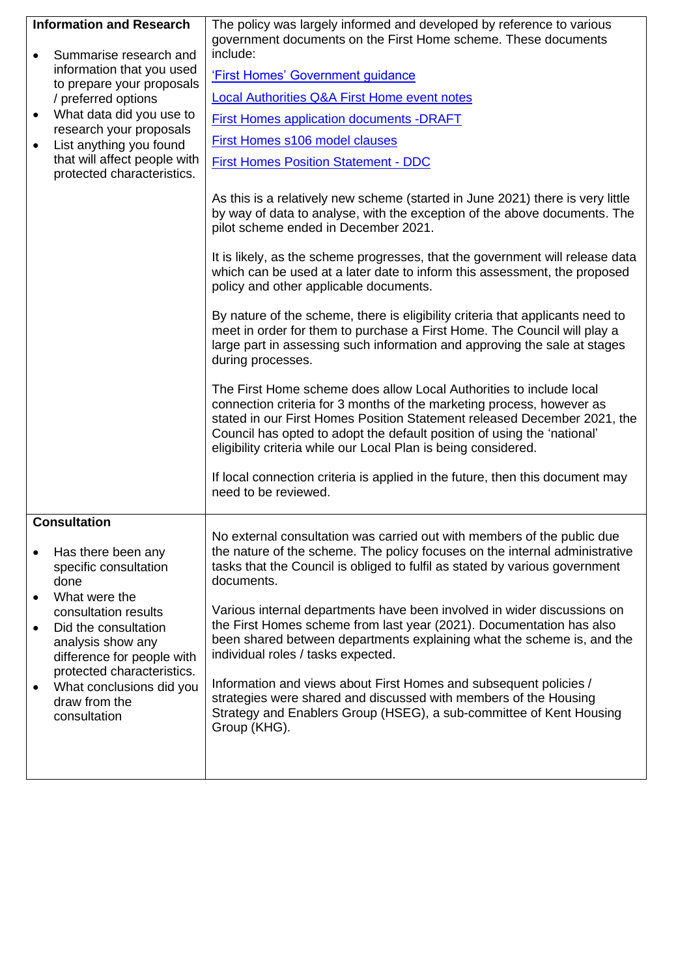| <b>Information and Research</b><br>Summarise research and<br>information that you used<br>to prepare your proposals<br>/ preferred options<br>What data did you use to<br>$\bullet$<br>research your proposals<br>List anything you found<br>that will affect people with                                                | The policy was largely informed and developed by reference to various<br>government documents on the First Home scheme. These documents<br>include:<br>'First Homes' Government guidance<br><b>Local Authorities Q&amp;A First Home event notes</b><br><b>First Homes application documents -DRAFT</b><br>First Homes s106 model clauses<br><b>First Homes Position Statement - DDC</b>                                                                                                                                                                                                                                                                                                                                                                                                                                                                                                                                                                                                                                                                                                                                                                       |
|--------------------------------------------------------------------------------------------------------------------------------------------------------------------------------------------------------------------------------------------------------------------------------------------------------------------------|---------------------------------------------------------------------------------------------------------------------------------------------------------------------------------------------------------------------------------------------------------------------------------------------------------------------------------------------------------------------------------------------------------------------------------------------------------------------------------------------------------------------------------------------------------------------------------------------------------------------------------------------------------------------------------------------------------------------------------------------------------------------------------------------------------------------------------------------------------------------------------------------------------------------------------------------------------------------------------------------------------------------------------------------------------------------------------------------------------------------------------------------------------------|
| protected characteristics.                                                                                                                                                                                                                                                                                               | As this is a relatively new scheme (started in June 2021) there is very little<br>by way of data to analyse, with the exception of the above documents. The<br>pilot scheme ended in December 2021.<br>It is likely, as the scheme progresses, that the government will release data<br>which can be used at a later date to inform this assessment, the proposed<br>policy and other applicable documents.<br>By nature of the scheme, there is eligibility criteria that applicants need to<br>meet in order for them to purchase a First Home. The Council will play a<br>large part in assessing such information and approving the sale at stages<br>during processes.<br>The First Home scheme does allow Local Authorities to include local<br>connection criteria for 3 months of the marketing process, however as<br>stated in our First Homes Position Statement released December 2021, the<br>Council has opted to adopt the default position of using the 'national'<br>eligibility criteria while our Local Plan is being considered.<br>If local connection criteria is applied in the future, then this document may<br>need to be reviewed. |
|                                                                                                                                                                                                                                                                                                                          |                                                                                                                                                                                                                                                                                                                                                                                                                                                                                                                                                                                                                                                                                                                                                                                                                                                                                                                                                                                                                                                                                                                                                               |
| <b>Consultation</b><br>Has there been any<br>$\bullet$<br>specific consultation<br>done<br>What were the<br>consultation results<br>Did the consultation<br>$\bullet$<br>analysis show any<br>difference for people with<br>protected characteristics.<br>What conclusions did you<br>٠<br>draw from the<br>consultation | No external consultation was carried out with members of the public due<br>the nature of the scheme. The policy focuses on the internal administrative<br>tasks that the Council is obliged to fulfil as stated by various government<br>documents.<br>Various internal departments have been involved in wider discussions on<br>the First Homes scheme from last year (2021). Documentation has also<br>been shared between departments explaining what the scheme is, and the<br>individual roles / tasks expected.<br>Information and views about First Homes and subsequent policies /<br>strategies were shared and discussed with members of the Housing<br>Strategy and Enablers Group (HSEG), a sub-committee of Kent Housing<br>Group (KHG).                                                                                                                                                                                                                                                                                                                                                                                                        |